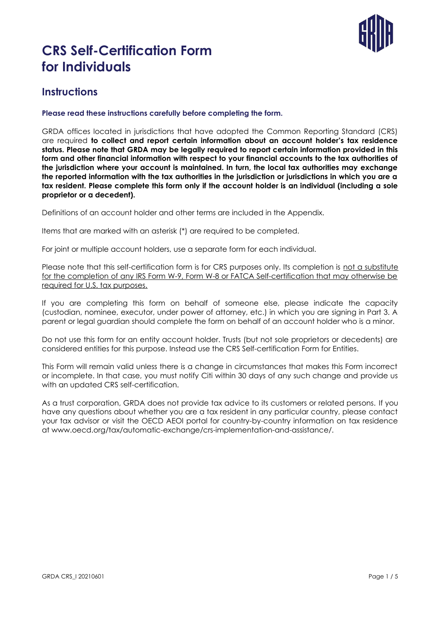

### **Instructions**

#### **Please read these instructions carefully before completing the form.**

GRDA offices located in jurisdictions that have adopted the Common Reporting Standard (CRS) are required **to collect and report certain information about an account holder's tax residence status. Please note that GRDA may be legally required to report certain information provided in this form and other financial information with respect to your financial accounts to the tax authorities of the jurisdiction where your account is maintained. In turn, the local tax authorities may exchange the reported information with the tax authorities in the jurisdiction or jurisdictions in which you are a tax resident. Please complete this form only if the account holder is an individual (including a sole proprietor or a decedent).**

Definitions of an account holder and other terms are included in the Appendix.

Items that are marked with an asterisk (\*) are required to be completed.

For joint or multiple account holders, use a separate form for each individual.

Please note that this self-certification form is for CRS purposes only. Its completion is not a substitute for the completion of any IRS Form W-9, Form W-8 or FATCA Self-certification that may otherwise be required for U.S. tax purposes.

If you are completing this form on behalf of someone else, please indicate the capacity (custodian, nominee, executor, under power of attorney, etc.) in which you are signing in Part 3. A parent or legal guardian should complete the form on behalf of an account holder who is a minor.

Do not use this form for an entity account holder. Trusts (but not sole proprietors or decedents) are considered entities for this purpose. Instead use the CRS Self-certification Form for Entities.

This Form will remain valid unless there is a change in circumstances that makes this Form incorrect or incomplete. In that case, you must notify Citi within 30 days of any such change and provide us with an updated CRS self-certification.

As a trust corporation, GRDA does not provide tax advice to its customers or related persons. If you have any questions about whether you are a tax resident in any particular country, please contact your tax advisor or visit the OECD AEOI portal for country-by-country information on tax residence at www.oecd.org/tax/automatic-exchange/crs-implementation-and-assistance/.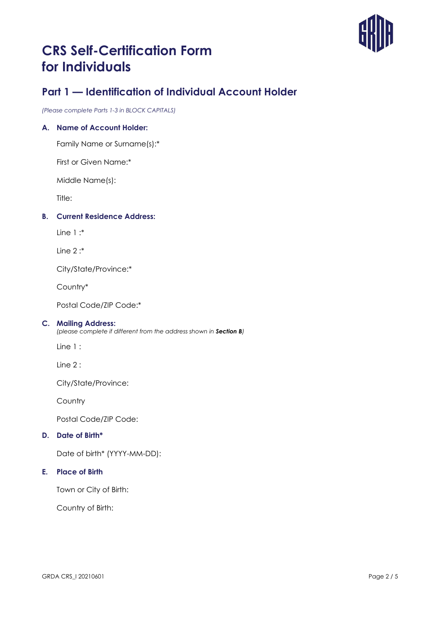

### **Part 1 — Identification of Individual Account Holder**

*(Please complete Parts 1-3 in BLOCK CAPITALS)*

### **A. Name of Account Holder:**

Family Name or Surname(s):\*

First or Given Name:\*

Middle Name(s):

Title:

### **B. Current Residence Address:**

 $Line 1 \cdot$ \*

Line 2 :\*

City/State/Province:\*

Country\*

Postal Code/ZIP Code:\*

#### **C. Mailing Address:**

*(please complete if different from the address shown in Section B)*

Line 1 :

Line 2 :

City/State/Province:

Country

Postal Code/ZIP Code:

#### **D. Date of Birth\***

Date of birth\* (YYYY-MM-DD):

#### **E. Place of Birth**

Town or City of Birth:

Country of Birth: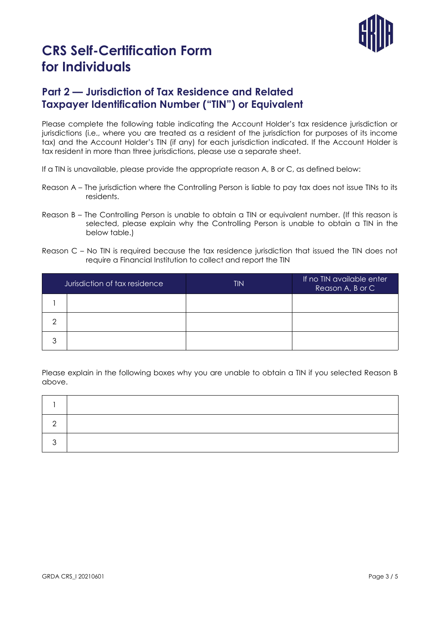

### **Part 2 — Jurisdiction of Tax Residence and Related Taxpayer Identification Number ("TIN") or Equivalent**

Please complete the following table indicating the Account Holder's tax residence jurisdiction or jurisdictions (i.e., where you are treated as a resident of the jurisdiction for purposes of its income tax) and the Account Holder's TIN (if any) for each jurisdiction indicated. If the Account Holder is tax resident in more than three jurisdictions, please use a separate sheet.

If a TIN is unavailable, please provide the appropriate reason A, B or C, as defined below:

- Reason A The jurisdiction where the Controlling Person is liable to pay tax does not issue TINs to its residents.
- Reason B The Controlling Person is unable to obtain a TIN or equivalent number. (If this reason is selected, please explain why the Controlling Person is unable to obtain a TIN in the below table.)
- Reason C No TIN is required because the tax residence jurisdiction that issued the TIN does not require a Financial Institution to collect and report the TIN

| Jurisdiction of tax residence |  | <b>TIN</b> | If no TIN available enter<br>Reason A, B or C |
|-------------------------------|--|------------|-----------------------------------------------|
|                               |  |            |                                               |
|                               |  |            |                                               |
| っ                             |  |            |                                               |

Please explain in the following boxes why you are unable to obtain a TIN if you selected Reason B above.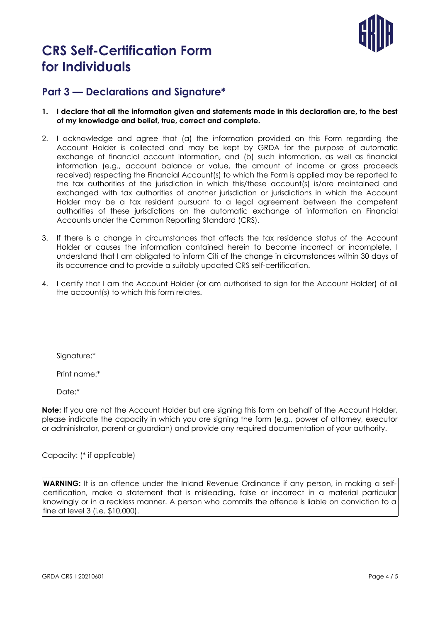

### **Part 3 — Declarations and Signature\***

- **1. I declare that all the information given and statements made in this declaration are, to the best of my knowledge and belief, true, correct and complete.**
- 2. I acknowledge and agree that (a) the information provided on this Form regarding the Account Holder is collected and may be kept by GRDA for the purpose of automatic exchange of financial account information, and (b) such information, as well as financial information (e.g., account balance or value, the amount of income or gross proceeds received) respecting the Financial Account(s) to which the Form is applied may be reported to the tax authorities of the jurisdiction in which this/these account(s) is/are maintained and exchanged with tax authorities of another jurisdiction or jurisdictions in which the Account Holder may be a tax resident pursuant to a legal agreement between the competent authorities of these jurisdictions on the automatic exchange of information on Financial Accounts under the Common Reporting Standard (CRS).
- 3. If there is a change in circumstances that affects the tax residence status of the Account Holder or causes the information contained herein to become incorrect or incomplete, I understand that I am obligated to inform Citi of the change in circumstances within 30 days of its occurrence and to provide a suitably updated CRS self-certification.
- 4. I certify that I am the Account Holder (or am authorised to sign for the Account Holder) of all the account(s) to which this form relates.

Sianature:\*

Print name:\*

Date:\*

**Note:** If you are not the Account Holder but are signing this form on behalf of the Account Holder, please indicate the capacity in which you are signing the form (e.g., power of attorney, executor or administrator, parent or guardian) and provide any required documentation of your authority.

Capacity: (\* if applicable)

**WARNING:** It is an offence under the Inland Revenue Ordinance if any person, in making a selfcertification, make a statement that is misleading, false or incorrect in a material particular knowingly or in a reckless manner. A person who commits the offence is liable on conviction to a fine at level 3 (i.e. \$10,000).